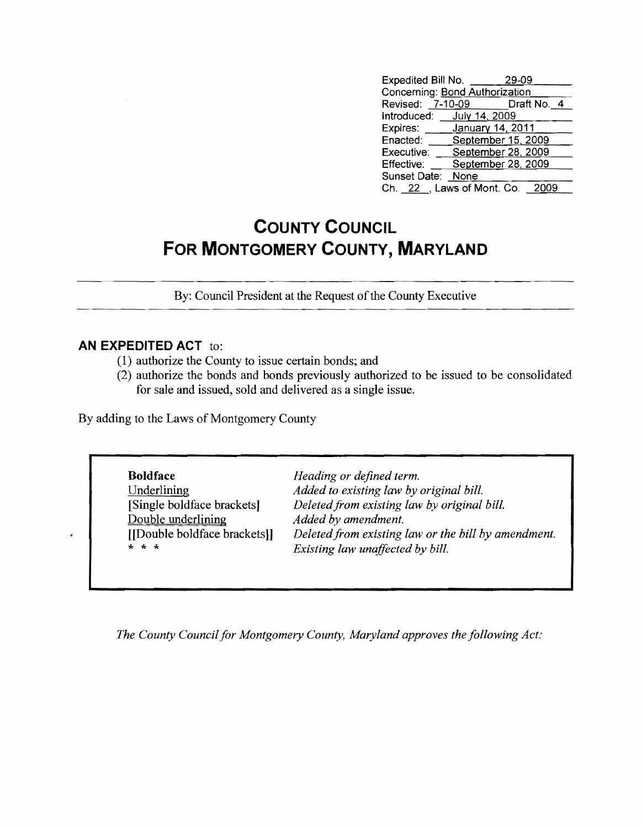| Expedited Bill No.             |                    | 29-09  |  |
|--------------------------------|--------------------|--------|--|
| Concerning: Bond Authorization |                    |        |  |
| Revised: 7-10-09 Draft No. 4   |                    |        |  |
| Introduced: July 14, 2009      |                    |        |  |
| Expires:                       | January 14, 2011   |        |  |
| Enacted:                       | September 15, 2009 |        |  |
| Executive:                     | September 28, 2009 |        |  |
| Effective:                     | September 28, 2009 |        |  |
| Sunset Date:                   | None               |        |  |
| Ch. 22 , Laws of Mont. Co.     |                    | - 2009 |  |

## **COUNTY COUNCIL FOR MONTGOMERY COUNTY, MARYLAND**

By: Council President at the Request of the County Executive

## **AN EXPEDITED ACT** to:

- (1) authorize the County to issue certain bonds; and
- (2) authorize the bonds and bonds previously authorized to be issued to be consolidated for sale and issued, sold and delivered as a single issue.

By adding to the Laws of Montgomery County

| <b>Boldface</b>             | Heading or defined term.                            |
|-----------------------------|-----------------------------------------------------|
| Underlining                 | Added to existing law by original bill.             |
| [Single boldface brackets]  | Deleted from existing law by original bill.         |
| Double underlining          | Added by amendment.                                 |
| [Double boldface brackets]] | Deleted from existing law or the bill by amendment. |
| * * *                       | Existing law unaffected by bill.                    |

*The County Council for Montgomery County, Maryland approves the following Act:*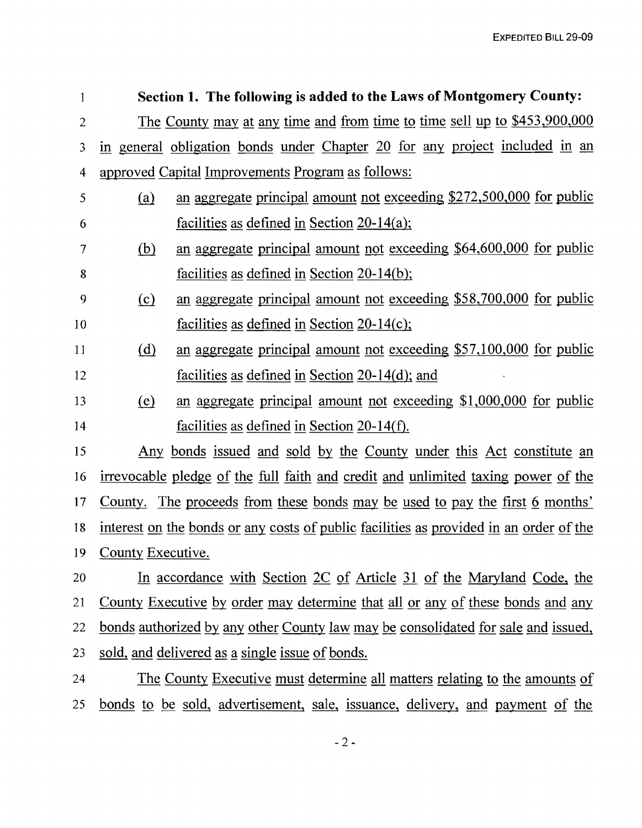| 1              |                                                                                          | Section 1. The following is added to the Laws of Montgomery County:          |  |
|----------------|------------------------------------------------------------------------------------------|------------------------------------------------------------------------------|--|
| $\overline{2}$ |                                                                                          | The County may at any time and from time to time sell up to \$453,900,000    |  |
| 3              |                                                                                          | in general obligation bonds under Chapter 20 for any project included in an  |  |
| 4              | approved Capital Improvements Program as follows:                                        |                                                                              |  |
| 5              | (a)                                                                                      | an aggregate principal amount not exceeding \$272,500,000 for public         |  |
| 6              |                                                                                          | facilities as defined in Section $20-14(a)$ ;                                |  |
| $\overline{7}$ | (b)                                                                                      | an aggregate principal amount not exceeding \$64,600,000 for public          |  |
| 8              |                                                                                          | facilities as defined in Section 20-14(b);                                   |  |
| 9              | (c)                                                                                      | an aggregate principal amount not exceeding \$58,700,000 for public          |  |
| 10             |                                                                                          | facilities as defined in Section $20-14(c)$ ;                                |  |
| 11             | (d)                                                                                      | an aggregate principal amount not exceeding \$57,100,000 for public          |  |
| 12             |                                                                                          | facilities as defined in Section $20-14(d)$ ; and                            |  |
| 13             | <u>(e)</u>                                                                               | an aggregate principal amount not exceeding \$1,000,000 for public           |  |
| 14             |                                                                                          | facilities as defined in Section $20-14(f)$ .                                |  |
| 15             |                                                                                          | Any bonds issued and sold by the County under this Act constitute an         |  |
| 16             | <u>irrevocable pledge of the full faith and credit and unlimited taxing power of the</u> |                                                                              |  |
| 17             |                                                                                          | County. The proceeds from these bonds may be used to pay the first 6 months' |  |
| 18             | interest on the bonds or any costs of public facilities as provided in an order of the   |                                                                              |  |
| 19             | County Executive.                                                                        |                                                                              |  |
| 20             | In accordance with Section 2C of Article 31 of the Maryland Code, the                    |                                                                              |  |
| 21             | <u>County Executive by order may determine that all or any of these bonds and any</u>    |                                                                              |  |
|                |                                                                                          |                                                                              |  |

22 bonds authorized by any other County law may be consolidated for sale and issued,

23 sold, and delivered as a single issue of bonds.

24 25 The County Executive must determine all matters relating to the amounts of bonds to be sold, advertisement, sale, issuance, delivery, and payment of the